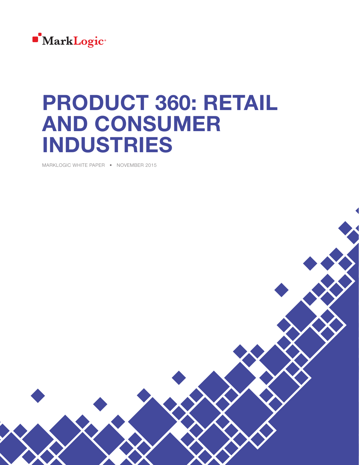

# PRODUCT 360: RETAIL AND CONSUMER INDUSTRIES

MARKLOGIC WHITE PAPER • NOVEMBER 2015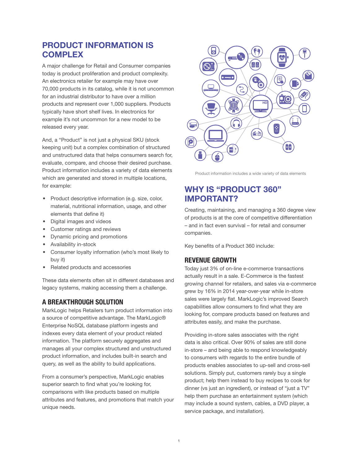## PRODUCT INFORMATION IS **COMPLEX**

A major challenge for Retail and Consumer companies today is product proliferation and product complexity. An electronics retailer for example may have over 70,000 products in its catalog, while it is not uncommon for an industrial distributor to have over a million products and represent over 1,000 suppliers. Products typically have short shelf lives. In electronics for example it's not uncommon for a new model to be released every year.

And, a "Product" is not just a physical SKU (stock keeping unit) but a complex combination of structured and unstructured data that helps consumers search for, evaluate, compare, and choose their desired purchase. Product information includes a variety of data elements which are generated and stored in multiple locations, for example:

- Product descriptive information (e.g. size, color, material, nutritional information, usage, and other elements that define it)
- Digital images and videos
- Customer ratings and reviews
- Dynamic pricing and promotions
- Availability in-stock
- Consumer loyalty information (who's most likely to buy it)
- Related products and accessories

These data elements often sit in different databases and legacy systems, making accessing them a challenge.

### A BREAKTHROUGH SOLUTION

MarkLogic helps Retailers turn product information into a source of competitive advantage. The MarkLogic® Enterprise NoSQL database platform ingests and indexes every data element of your product related information. The platform securely aggregates and manages all your complex structured and unstructured product information, and includes built-in search and query, as well as the ability to build applications.

From a consumer's perspective, MarkLogic enables superior search to find what you're looking for, comparisons with like products based on multiple attributes and features, and promotions that match your unique needs.



Product information includes a wide variety of data elements

## WHY IS "PRODUCT 360" IMPORTANT?

Creating, maintaining, and managing a 360 degree view of products is at the core of competitive differentiation – and in fact even survival – for retail and consumer companies.

Key benefits of a Product 360 include:

#### REVENUE GROWTH

Today just 3% of on-line e-commerce transactions actually result in a sale. E-Commerce is the fastest growing channel for retailers, and sales via e-commerce grew by 16% in 2014 year-over-year while in-store sales were largely flat. MarkLogic's improved Search capabilities allow consumers to find what they are looking for, compare products based on features and attributes easily, and make the purchase.

Providing in-store sales associates with the right data is also critical. Over 90% of sales are still done in-store – and being able to respond knowledgeably to consumers with regards to the entire bundle of products enables associates to up-sell and cross-sell solutions. Simply put, customers rarely buy a single product; help them instead to buy recipes to cook for dinner (vs just an ingredient), or instead of "just a TV" help them purchase an entertainment system (which may include a sound system, cables, a DVD player, a service package, and installation).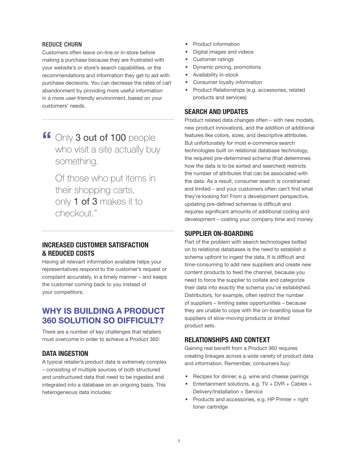#### REDUCE CHURN

Customers often leave on-line or in-store before making a purchase because they are frustrated with your website's or store's search capabilities, or the recommendations and information they get to aid with purchase decisions. You can decrease the rates of cart abandonment by providing more useful information in a more user-friendly environment, based on your customers' needs.

If Only 3 out of 100 people who visit a site actually buy something.

Of those who put items in their shopping carts, only 1 of 3 makes it to checkout."

#### INCREASED CUSTOMER SATISFACTION & REDUCED COSTS

Having all relevant information available helps your representatives respond to the customer's request or complaint accurately, in a timely manner – and keeps the customer coming back to you instead of your competitors.

## WHY IS BUILDING A PRODUCT 360 SOLUTION SO DIFFICULT?

There are a number of key challenges that retailers must overcome in order to achieve a Product 360:

#### DATA INGESTION

A typical retailer's product data is extremely complex – consisting of multiple sources of both structured and unstructured data that need to be ingested and integrated into a database on an ongoing basis. This heterogeneous data includes:

- Product information
- Digital images and videos
- Customer ratings
- Dynamic pricing, promotions
- Availability in-stock
- Consumer loyalty information
- Product Relationships (e.g. accessories, related products and services)

#### SEARCH AND UPDATES

Product related data changes often – with new models, new product innovations, and the addition of additional features like colors, sizes, and descriptive attributes. But unfortunately for most e-commerce search technologies built on relational database technology, the required pre-determined schema (that determines how the data is to be sorted and searched) restricts the number of attributes that can be associated with the data. As a result, consumer search is constrained and limited – and your customers often can't find what they're looking for! From a development perspective, updating pre-defined schemas is difficult and requires significant amounts of additional coding and development – costing your company time and money.

#### SUPPLIER ON-BOARDING

Part of the problem with search technologies bolted on to relational databases is the need to establish a schema upfront to ingest the data. It is difficult and time-consuming to add new suppliers and create new content products to feed the channel, because you need to force the supplier to collate and categorize their data into exactly the schema you've established. Distributors, for example, often restrict the number of suppliers – limiting sales opportunities – because they are unable to cope with the on-boarding issue for suppliers of slow-moving products or limited product sets.

#### RELATIONSHIPS AND CONTEXT

Gaining real benefit from a Product 360 requires creating linkages across a wide variety of product data and information. Remember, consumers buy:

- Recipes for dinner, e.g. wine and cheese pairings
- Entertainment solutions, e.g. TV + DVR + Cables + Delivery/Installation + Service
- Products and accessories, e.g. HP Printer + right toner cartridge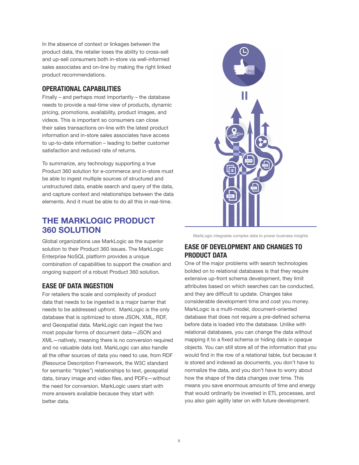In the absence of context or linkages between the product data, the retailer loses the ability to cross-sell and up-sell consumers both in-store via well-informed sales associates and on-line by making the right linked product recommendations.

#### OPERATIONAL CAPABILITIES

Finally – and perhaps most importantly – the database needs to provide a real-time view of products, dynamic pricing, promotions, availability, product images, and videos. This is important so consumers can close their sales transactions on-line with the latest product information and in-store sales associates have access to up-to-date information – leading to better customer satisfaction and reduced rate of returns.

To summarize, any technology supporting a true Product 360 solution for e-commerce and in-store must be able to ingest multiple sources of structured and unstructured data, enable search and query of the data, and capture context and relationships between the data elements. And it must be able to do all this in real-time.

## THE MARKLOGIC PRODUCT 360 SOLUTION

Global organizations use MarkLogic as the superior solution to their Product 360 issues. The MarkLogic Enterprise NoSQL platform provides a unique combination of capabilities to support the creation and ongoing support of a robust Product 360 solution.

## EASE OF DATA INGESTION

For retailers the scale and complexity of product data that needs to be ingested is a major barrier that needs to be addressed upfront. MarkLogic is the only database that is optimized to store JSON, XML, RDF, and Geospatial data. MarkLogic can ingest the two most popular forms of document data—JSON and XML—natively, meaning there is no conversion required and no valuable data lost. MarkLogic can also handle all the other sources of data you need to use, from RDF (Resource Description Framework, the W3C standard for semantic "triples") relationships to text, geospatial data, binary image and video files, and PDFs—without the need for conversion. MarkLogic users start with more answers available because they start with better data.



MarkLogic integrates complex data to power business insights

## EASE OF DEVELOPMENT AND CHANGES TO PRODUCT DATA

One of the major problems with search technologies bolded on to relational databases is that they require extensive up-front schema development, they limit attributes based on which searches can be conducted, and they are difficult to update. Changes take considerable development time and cost you money. MarkLogic is a multi-model, document-oriented database that does not require a pre-defined schema before data is loaded into the database. Unlike with relational databases, you can change the data without mapping it to a fixed schema or hiding data in opaque objects. You can still store all of the information that you would find in the row of a relational table, but because it is stored and indexed as documents, you don't have to normalize the data, and you don't have to worry about how the shape of the data changes over time. This means you save enormous amounts of time and energy that would ordinarily be invested in ETL processes, and you also gain agility later on with future development.